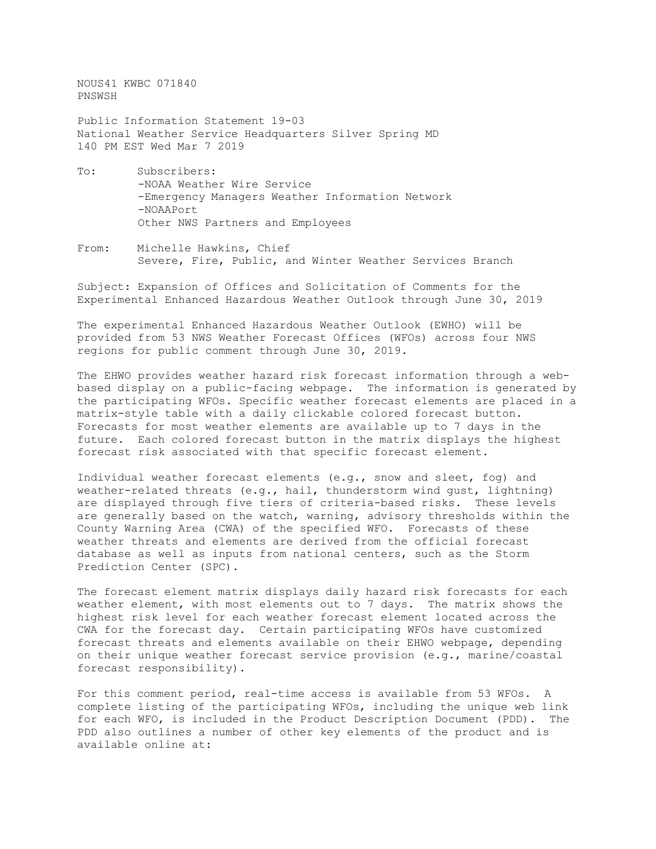NOUS41 KWBC 071840 PNSWSH

Public Information Statement 19-03 National Weather Service Headquarters Silver Spring MD 140 PM EST Wed Mar 7 2019

- To: Subscribers: -NOAA Weather Wire Service -Emergency Managers Weather Information Network -NOAAPort Other NWS Partners and Employees
- From: Michelle Hawkins, Chief Severe, Fire, Public, and Winter Weather Services Branch

Subject: Expansion of Offices and Solicitation of Comments for the Experimental Enhanced Hazardous Weather Outlook through June 30, 2019

The experimental Enhanced Hazardous Weather Outlook (EWHO) will be provided from 53 NWS Weather Forecast Offices (WFOs) across four NWS regions for public comment through June 30, 2019.

The EHWO provides weather hazard risk forecast information through a webbased display on a public-facing webpage. The information is generated by the participating WFOs. Specific weather forecast elements are placed in a matrix-style table with a daily clickable colored forecast button. Forecasts for most weather elements are available up to 7 days in the future. Each colored forecast button in the matrix displays the highest forecast risk associated with that specific forecast element.

Individual weather forecast elements (e.g., snow and sleet, fog) and weather-related threats (e.g., hail, thunderstorm wind gust, lightning) are displayed through five tiers of criteria-based risks. These levels are generally based on the watch, warning, advisory thresholds within the County Warning Area (CWA) of the specified WFO. Forecasts of these weather threats and elements are derived from the official forecast database as well as inputs from national centers, such as the Storm Prediction Center (SPC).

The forecast element matrix displays daily hazard risk forecasts for each weather element, with most elements out to 7 days. The matrix shows the highest risk level for each weather forecast element located across the CWA for the forecast day. Certain participating WFOs have customized forecast threats and elements available on their EHWO webpage, depending on their unique weather forecast service provision (e.g., marine/coastal forecast responsibility).

For this comment period, real-time access is available from 53 WFOs. A complete listing of the participating WFOs, including the unique web link<br>for each WFO, is included in the Product Description Document (PDD). The for each WFO, is included in the Product Description Document (PDD). PDD also outlines a number of other key elements of the product and is available online at: